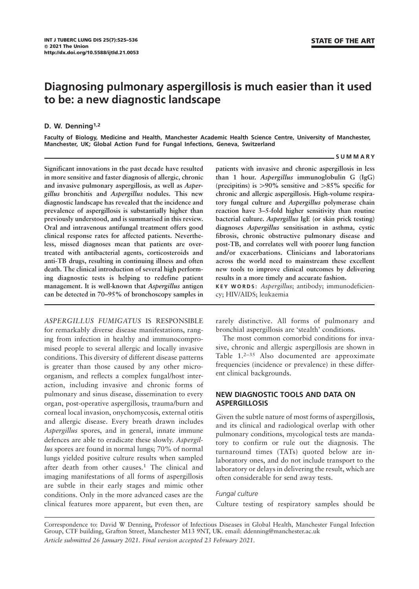# Diagnosing pulmonary aspergillosis is much easier than it used to be: a new diagnostic landscape

#### D. W. Denning<sup>1,2</sup>

Faculty of Biology, Medicine and Health, Manchester Academic Health Science Centre, University of Manchester, Manchester, UK; Global Action Fund for Fungal Infections, Geneva, Switzerland

#### SUMMARY

Significant innovations in the past decade have resulted in more sensitive and faster diagnosis of allergic, chronic and invasive pulmonary aspergillosis, as well as Aspergillus bronchitis and Aspergillus nodules. This new diagnostic landscape has revealed that the incidence and prevalence of aspergillosis is substantially higher than previously understood, and is summarised in this review. Oral and intravenous antifungal treatment offers good clinical response rates for affected patients. Nevertheless, missed diagnoses mean that patients are overtreated with antibacterial agents, corticosteroids and anti-TB drugs, resulting in continuing illness and often death. The clinical introduction of several high performing diagnostic tests is helping to redefine patient management. It is well-known that Aspergillus antigen can be detected in 70–95% of bronchoscopy samples in

ASPERGILLUS FUMIGATUS IS RESPONSIBLE for remarkably diverse disease manifestations, ranging from infection in healthy and immunocompromised people to several allergic and locally invasive conditions. This diversity of different disease patterns is greater than those caused by any other microorganism, and reflects a complex fungal/host interaction, including invasive and chronic forms of pulmonary and sinus disease, dissemination to every organ, post-operative aspergillosis, trauma/burn and corneal local invasion, onychomycosis, external otitis and allergic disease. Every breath drawn includes Aspergillus spores, and in general, innate immune defences are able to eradicate these slowly. Aspergillus spores are found in normal lungs; 70% of normal lungs yielded positive culture results when sampled after death from other causes.<sup>1</sup> The clinical and imaging manifestations of all forms of aspergillosis are subtle in their early stages and mimic other conditions. Only in the more advanced cases are the clinical features more apparent, but even then, are patients with invasive and chronic aspergillosis in less than 1 hour. Aspergillus immunoglobulin G (IgG) (precipitins) is  $>90\%$  sensitive and  $>85\%$  specific for chronic and allergic aspergillosis. High-volume respiratory fungal culture and Aspergillus polymerase chain reaction have 3–5-fold higher sensitivity than routine bacterial culture. Aspergillus IgE (or skin prick testing) diagnoses Aspergillus sensitisation in asthma, cystic fibrosis, chronic obstructive pulmonary disease and post-TB, and correlates well with poorer lung function and/or exacerbations. Clinicians and laboratorians across the world need to mainstream these excellent new tools to improve clinical outcomes by delivering results in a more timely and accurate fashion.

KEY WORDS: Aspergillus; antibody; immunodeficiency; HIV/AIDS; leukaemia

rarely distinctive. All forms of pulmonary and bronchial aspergillosis are 'stealth' conditions.

The most common comorbid conditions for invasive, chronic and allergic aspergillosis are shown in Table 1.<sup>2-35</sup> Also documented are approximate frequencies (incidence or prevalence) in these different clinical backgrounds.

# NEW DIAGNOSTIC TOOLS AND DATA ON ASPERGILLOSIS

Given the subtle nature of most forms of aspergillosis, and its clinical and radiological overlap with other pulmonary conditions, mycological tests are mandatory to confirm or rule out the diagnosis. The turnaround times (TATs) quoted below are inlaboratory ones, and do not include transport to the laboratory or delays in delivering the result, which are often considerable for send away tests.

#### Fungal culture

Culture testing of respiratory samples should be

Correspondence to: David W Denning, Professor of Infectious Diseases in Global Health, Manchester Fungal Infection Group, CTF building, Grafton Street, Manchester M13 9NT, UK. email: ddenning@manchester.ac.uk Article submitted 26 January 2021. Final version accepted 23 February 2021.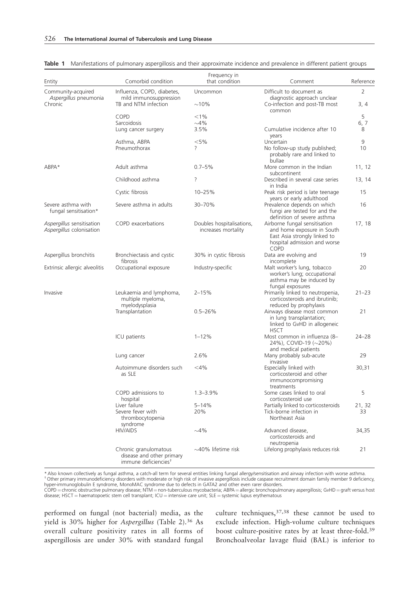| Entity                                                | Comorbid condition                                                                     | Frequency in<br>that condition                   | Comment                                                                                                                             | Reference |
|-------------------------------------------------------|----------------------------------------------------------------------------------------|--------------------------------------------------|-------------------------------------------------------------------------------------------------------------------------------------|-----------|
| Community-acquired<br>Aspergillus pneumonia           | Influenza, COPD, diabetes,<br>mild immunosuppression                                   | Uncommon                                         | Difficult to document as<br>diagnostic approach unclear                                                                             | 2         |
| Chronic                                               | TB and NTM infection                                                                   | $\sim$ 10%                                       | Co-infection and post-TB most<br>common                                                                                             | 3, 4      |
|                                                       | COPD                                                                                   | $< 1\%$                                          |                                                                                                                                     | 5         |
|                                                       | Sarcoidosis                                                                            | $\sim$ 4%                                        |                                                                                                                                     | 6, 7      |
|                                                       | Lung cancer surgery                                                                    | 3.5%                                             | Cumulative incidence after 10<br>years                                                                                              | 8         |
|                                                       | Asthma, ABPA                                                                           | < 5%                                             | Uncertain                                                                                                                           | 9         |
|                                                       | Pneumothorax                                                                           | ?                                                | No follow-up study published;<br>probably rare and linked to<br>bullae                                                              | 10        |
| ABPA*                                                 | Adult asthma                                                                           | $0.7 - 5\%$                                      | More common in the Indian<br>subcontinent                                                                                           | 11, 12    |
|                                                       | Childhood asthma                                                                       | ?                                                | Described in several case series<br>in India                                                                                        | 13, 14    |
|                                                       | Cystic fibrosis                                                                        | 10-25%                                           | Peak risk period is late teenage<br>years or early adulthood                                                                        | 15        |
| Severe asthma with<br>fungal sensitisation*           | Severe asthma in adults                                                                | 30-70%                                           | Prevalence depends on which<br>fungi are tested for and the<br>definition of severe asthma                                          | 16        |
| Aspergillus sensitisation<br>Aspergillus colonisation | COPD exacerbations                                                                     | Doubles hospitalisations,<br>increases mortality | Airborne fungal sensitisation<br>and home exposure in South<br>East Asia strongly linked to<br>hospital admission and worse<br>COPD | 17, 18    |
| Aspergillus bronchitis                                | Bronchiectasis and cystic<br>fibrosis                                                  | 30% in cystic fibrosis                           | Data are evolving and<br>incomplete                                                                                                 | 19        |
| Extrinsic allergic alveolitis                         | Occupational exposure                                                                  | Industry-specific                                | Malt worker's lung, tobacco<br>worker's lung; occupational<br>asthma may be induced by<br>fungal exposures                          | 20        |
| Invasive                                              | Leukaemia and lymphoma,<br>multiple myeloma,<br>myelodysplasia                         | $2 - 15%$                                        | Primarily linked to neutropenia,<br>corticosteroids and ibrutinib;<br>reduced by prophylaxis                                        | $21 - 23$ |
|                                                       | Transplantation                                                                        | $0.5 - 26%$                                      | Airways disease most common<br>in lung transplantation;<br>linked to GvHD in allogeneic<br><b>HSCT</b>                              | 21        |
|                                                       | ICU patients                                                                           | $1 - 12%$                                        | Most common in influenza (8-<br>24%), COVID-19 (~20%)<br>and medical patients                                                       | $24 - 28$ |
|                                                       | Lung cancer                                                                            | 2.6%                                             | Many probably sub-acute<br>invasive                                                                                                 | 29        |
|                                                       | Autoimmune disorders such<br>as SLE                                                    | $<$ 4%                                           | Especially linked with<br>corticosteroid and other<br>immunocompromising<br>treatments                                              | 30,31     |
|                                                       | COPD admissions to<br>hospital                                                         | $1.3 - 3.9%$                                     | Some cases linked to oral<br>corticosteroid use                                                                                     | 5         |
|                                                       | Liver failure                                                                          | $5 - 14%$                                        | Partially linked to corticosteroids                                                                                                 | 21, 32    |
|                                                       | Severe fever with<br>thrombocytopenia<br>syndrome                                      | 20%                                              | Tick-borne infection in<br>Northeast Asia                                                                                           | 33        |
|                                                       | <b>HIV/AIDS</b>                                                                        | $\sim$ 4%                                        | Advanced disease,<br>corticosteroids and                                                                                            | 34,35     |
|                                                       | Chronic granulomatous<br>disease and other primary<br>immune deficiencies <sup>+</sup> | $\sim$ 40% lifetime risk                         | neutropenia<br>Lifelong prophylaxis reduces risk                                                                                    | 21        |

Table 1 Manifestations of pulmonary aspergillosis and their approximate incidence and prevalence in different patient groups

\* Also known collectively as fungal asthma, a catch-all term for several entities linking fungal allergy/sensitisation and airway infection with worse asthma.<br><sup>†</sup> Other primary immunodeficiency disorders with moderate or h

hyper-immunoglobulin E syndrome, MonoMAC syndrome due to defects in GATA2 and other even rarer disorders. COPD = chronic obstructive pulmonary disease; NTM = non-tuberculous mycobacteria; ABPA = allergic bronchopulmonary aspergillosis; GvHD = graft versus host disease; HSCT = haematopoetic stem cell transplant; ICU = intensive care unit; SLE = systemic lupus erythematous

performed on fungal (not bacterial) media, as the yield is 30% higher for Aspergillus (Table 2).<sup>36</sup> As overall culture positivity rates in all forms of aspergillosis are under 30% with standard fungal culture techniques,37,38 these cannot be used to exclude infection. High-volume culture techniques boost culture-positive rates by at least three-fold.<sup>39</sup> Bronchoalveolar lavage fluid (BAL) is inferior to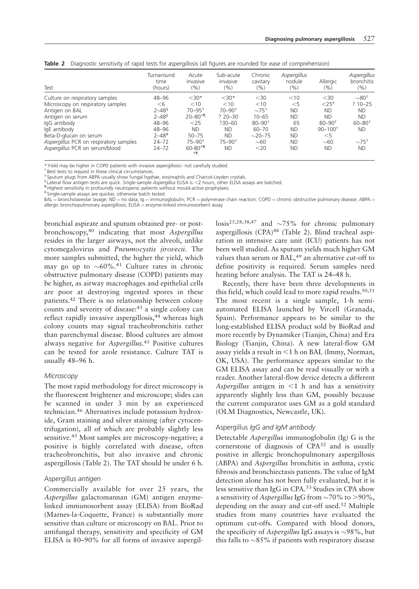| Test                                   | Turnaround<br>time<br>(hours) | Acute<br>invasive<br>(9/0) | Sub-acute<br>invasive<br>(%) | Chronic<br>cavitary<br>(%) | <b>Aspergillus</b><br>nodule<br>(%) | Allergic<br>(9/0)    | Aspergillus<br>bronchitis<br>(%) |
|----------------------------------------|-------------------------------|----------------------------|------------------------------|----------------------------|-------------------------------------|----------------------|----------------------------------|
| Culture on respiratory samples         | 48-96                         | $<$ 30*                    | $<$ 30*                      | $30$                       | $<$ 10                              | $30$                 | $\sim$ 80 $^{\dagger}$           |
| Microscopy on respiratory samples      | $<$ 6                         | $<$ 10                     | $<$ 10                       | $<$ 10                     | $<$ 5                               | ${<}25$ <sup>+</sup> | $?10 - 25$                       |
| Antigen on BAL                         | $2 - 48^5$                    | $70 - 95$ <sup>+</sup>     | $70 - 90^+$                  | $\sim75^{+}$               | <b>ND</b>                           | <b>ND</b>            | <b>ND</b>                        |
| Antigen on serum                       | $2 - 48^5$                    | $20 - 80 + 1$              | $?20 - 30$                   | $10 - 65$                  | <b>ND</b>                           | <b>ND</b>            | <b>ND</b>                        |
| IgG antibody                           | 48-96                         | $<$ 25                     | $730 - 60$                   | $80 - 90^{+}$              | 65                                  | $80 - 90^+$          | $60 - 80$ <sup>+</sup>           |
| IgE antibody                           | 48-96                         | <b>ND</b>                  | <b>ND</b>                    | $60 - 70$                  | <b>ND</b>                           | $90 - 100^+$         | <b>ND</b>                        |
| Beta-D-glucan on serum                 | 2–48#                         | $50 - 75$                  | <b>ND</b>                    | $\sim$ 20–75               | <b>ND</b>                           | $<$ 5                |                                  |
| Aspergillus PCR on respiratory samples | $24 - 72$                     | $75 - 90^+$                | $75 - 90^+$                  | $\sim$ 60                  | <b>ND</b>                           | $\sim$ 60            | $\sim75^{+}$                     |
| Aspergillus PCR on serum/blood         | $24 - 72$                     | $60 - 80 + 1$              | ND.                          | $<$ 20                     | <b>ND</b>                           | <b>ND</b>            | <b>ND</b>                        |

|  |  |  |  |  |  |  |  |  | <b>Table 2</b> Diagnostic sensitivity of rapid tests for aspergillosis (all figures are rounded for ease of comprehension) |
|--|--|--|--|--|--|--|--|--|----------------------------------------------------------------------------------------------------------------------------|
|--|--|--|--|--|--|--|--|--|----------------------------------------------------------------------------------------------------------------------------|

\* Yield may be higher in COPD patients with invasive aspergillosis– not carefully studied.

† Best tests to request in these clinical circumstances.

Sputum plugs from ABPA usually show fungal hyphae, eosinophils and Charcot-Leyden crystals.

§ Lateral flow antigen tests are quick. Single-sample Aspergillus ELISA is <2 hours, other ELISA assays are batched.<br>¶Highest sensitivity in profoundly neutropenic patients without mould-active prophylaxis.

# Single-sample assays are quicker, otherwise batch tested.

BAL = broncholaveolar lavage; ND = no data; Ig = immunoglobulin; PCR = polymerase chain reaction; COPD = chronic obstructive pulmonary disease; ABPA = allergic bronchopulmonary aspergillosis;  $ELSA =$ enzyme-linked immunosorbent assay.

bronchial aspirate and sputum obtained pre- or postbronchoscopy,<sup>40</sup> indicating that most Aspergillus resides in the larger airways, not the alveoli, unlike cytomegalovirus and Pneumocystis jirovecii. The more samples submitted, the higher the yield, which may go up to  $\sim 60\%$ .<sup>41</sup> Culture rates in chronic obstructive pulmonary disease (COPD) patients may be higher, as airway macrophages and epithelial cells are poor at destroying ingested spores in these patients.42 There is no relationship between colony counts and severity of disease:<sup>43</sup> a single colony can reflect rapidly invasive aspergillosis,<sup>44</sup> whereas high colony counts may signal tracheobronchitis rather than parenchymal disease. Blood cultures are almost always negative for Aspergillus.<sup>45</sup> Positive cultures can be tested for azole resistance. Culture TAT is usually 48–96 h.

#### **Microscopy**

The most rapid methodology for direct microscopy is the fluorescent brightener and microscope; slides can be scanned in under 3 min by an experienced technician.46 Alternatives include potassium hydroxide, Gram staining and silver staining (after cytocentrifugation), all of which are probably slightly less sensitive.<sup>45</sup> Most samples are microscopy-negative; a positive is highly correlated with disease, often tracheobronchitis, but also invasive and chronic aspergillosis (Table 2). The TAT should be under 6 h.

# Aspergillus antigen

Commercially available for over 25 years, the Aspergillus galactomannan (GM) antigen enzymelinked immunosorbent assay (ELISA) from BioRad (Marnes-la-Coquette, France) is substantially more sensitive than culture or microscopy on BAL. Prior to antifungal therapy, sensitivity and specificity of GM ELISA is 80–90% for all forms of invasive aspergillosis<sup>25,28,38,47</sup> and  $\sim$ 75% for chronic pulmonary aspergillosis (CPA)<sup>48</sup> (Table 2). Blind tracheal aspiration in intensive care unit (ICU) patients has not been well studied. As sputum yields much higher GM values than serum or BAL,<sup>49</sup> an alternative cut-off to define positivity is required. Serum samples need heating before analysis. The TAT is 24–48 h.

Recently, there have been three developments in this field, which could lead to more rapid results.<sup>50,51</sup> The most recent is a single sample, 1-h semiautomated ELISA launched by Vircell (Granada, Spain). Performance appears to be similar to the long-established ELISA product sold by BioRad and more recently by Dynamiker (Tianjin, China) and Era Biology (Tianjin, China). A new lateral-flow GM assay yields a result in  $\leq 1$  h on BAL (Immy, Norman, OK, USA). The performance appears similar to the GM ELISA assay and can be read visually or with a reader. Another lateral-flow device detects a different Aspergillus antigen in  $\leq 1$  h and has a sensitivity apparently slightly less than GM, possibly because the current comparator uses GM as a gold standard (OLM Diagnostics, Newcastle, UK).

#### Aspergillus IgG and IgM antibody

Detectable Aspergillus immunoglobulin (Ig) G is the cornerstone of diagnosis of CPA<sup>52</sup> and is usually positive in allergic bronchopulmonary aspergillosis (ABPA) and Aspergillus bronchitis in asthma, cystic fibrosis and bronchiectasis patients. The value of IgM detection alone has not been fully evaluated, but it is less sensitive than IgG in CPA.<sup>53</sup> Studies in CPA show a sensitivity of Aspergillus IgG from  $\sim$  70% to >90%, depending on the assay and cut-off used.<sup>52</sup> Multiple studies from many countries have evaluated the optimum cut-offs. Compared with blood donors, the specificity of *Aspergillus* IgG assays is  $\sim$ 98%, but this falls to  $\sim$ 85% if patients with respiratory disease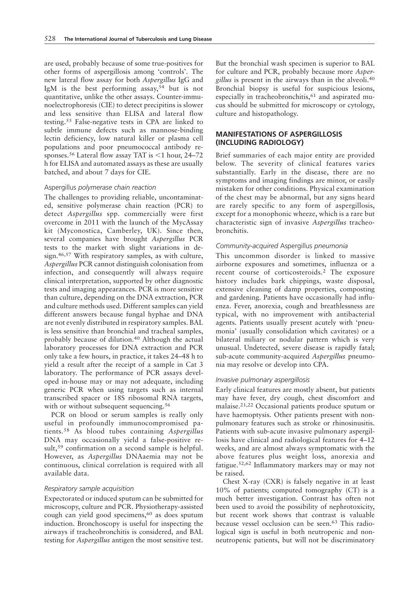are used, probably because of some true-positives for other forms of aspergillosis among 'controls'. The new lateral flow assay for both Aspergillus IgG and IgM is the best performing assay,<sup>54</sup> but is not quantitative, unlike the other assays. Counter-immunoelectrophoresis (CIE) to detect precipitins is slower and less sensitive than ELISA and lateral flow testing.55 False-negative tests in CPA are linked to subtle immune defects such as mannose-binding lectin deficiency, low natural killer or plasma cell populations and poor pneumococcal antibody responses.<sup>56</sup> Lateral flow assay TAT is  $\leq$ 1 hour, 24–72 h for ELISA and automated assays as these are usually batched, and about 7 days for CIE.

#### Aspergillus polymerase chain reaction

The challenges to providing reliable, uncontaminated, sensitive polymerase chain reaction (PCR) to detect Aspergillus spp. commercially were first overcome in 2011 with the launch of the MycAssay kit (Myconostica, Camberley, UK). Since then, several companies have brought Aspergillus PCR tests to the market with slight variations in design.46,57 With respiratory samples, as with culture, Aspergillus PCR cannot distinguish colonisation from infection, and consequently will always require clinical interpretation, supported by other diagnostic tests and imaging appearances. PCR is more sensitive than culture, depending on the DNA extraction, PCR and culture methods used. Different samples can yield different answers because fungal hyphae and DNA are not evenly distributed in respiratory samples. BAL is less sensitive than bronchial and tracheal samples, probably because of dilution.<sup>40</sup> Although the actual laboratory processes for DNA extraction and PCR only take a few hours, in practice, it takes 24–48 h to yield a result after the receipt of a sample in Cat 3 laboratory. The performance of PCR assays developed in-house may or may not adequate, including generic PCR when using targets such as internal transcribed spacer or 18S ribosomal RNA targets, with or without subsequent sequencing.<sup>56</sup>

PCR on blood or serum samples is really only useful in profoundly immunocompromised patients.<sup>58</sup> As blood tubes containing Aspergillus DNA may occasionally yield a false-positive result,<sup>59</sup> confirmation on a second sample is helpful. However, as Aspergillus DNAaemia may not be continuous, clinical correlation is required with all available data.

#### Respiratory sample acquisition

Expectorated or induced sputum can be submitted for microscopy, culture and PCR. Physiotherapy-assisted cough can yield good specimens,<sup>60</sup> as does sputum induction. Bronchoscopy is useful for inspecting the airways if tracheobronchitis is considered, and BAL testing for Aspergillus antigen the most sensitive test.

But the bronchial wash specimen is superior to BAL for culture and PCR, probably because more Aspergillus is present in the airways than in the alveoli.<sup>40</sup> Bronchial biopsy is useful for suspicious lesions, especially in tracheobronchitis,<sup>61</sup> and aspirated mucus should be submitted for microscopy or cytology, culture and histopathology.

# MANIFESTATIONS OF ASPERGILLOSIS (INCLUDING RADIOLOGY)

Brief summaries of each major entity are provided below. The severity of clinical features varies substantially. Early in the disease, there are no symptoms and imaging findings are minor, or easily mistaken for other conditions. Physical examination of the chest may be abnormal, but any signs heard are rarely specific to any form of aspergillosis, except for a monophonic wheeze, which is a rare but characteristic sign of invasive Aspergillus tracheobronchitis.

#### Community-acquired Aspergillus pneumonia

This uncommon disorder is linked to massive airborne exposures and sometimes, influenza or a recent course of corticosteroids.<sup>2</sup> The exposure history includes bark chippings, waste disposal, extensive cleaning of damp properties, composting and gardening. Patients have occasionally had influenza. Fever, anorexia, cough and breathlessness are typical, with no improvement with antibacterial agents. Patients usually present acutely with 'pneumonia' (usually consolidation which cavitates) or a bilateral miliary or nodular pattern which is very unusual. Undetected, severe disease is rapidly fatal; sub-acute community-acquired Aspergillus pneumonia may resolve or develop into CPA.

#### Invasive pulmonary aspergillosis

Early clinical features are mostly absent, but patients may have fever, dry cough, chest discomfort and malaise.21,22 Occasional patients produce sputum or have haemoptysis. Other patients present with nonpulmonary features such as stroke or rhinosinusitis. Patients with sub-acute invasive pulmonary aspergillosis have clinical and radiological features for 4–12 weeks, and are almost always symptomatic with the above features plus weight loss, anorexia and fatigue.52,62 Inflammatory markers may or may not be raised.

Chest X-ray (CXR) is falsely negative in at least 10% of patients; computed tomography (CT) is a much better investigation. Contrast has often not been used to avoid the possibility of nephrotoxicity, but recent work shows that contrast is valuable because vessel occlusion can be seen.<sup>63</sup> This radiological sign is useful in both neutropenic and nonneutropenic patients, but will not be discriminatory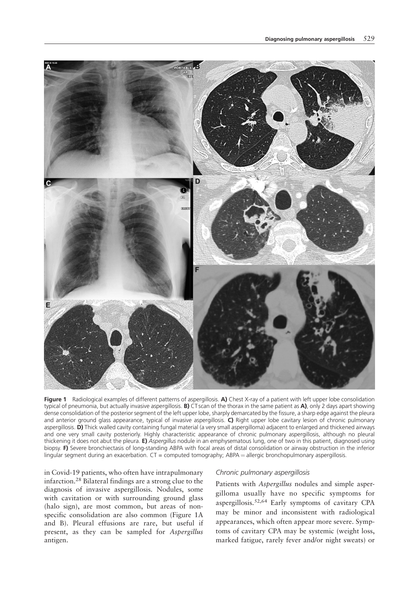

Figure 1 Radiological examples of different patterns of aspergillosis. A) Chest X-ray of a patient with left upper lobe consolidation typical of pneumonia, but actually invasive aspergillosis. **B)** CT scan of the thorax in the same patient as  $A$ ), only 2 days apart showing dense consolidation of the posterior segment of the left upper lobe, sharply demarcated by the fissure, a sharp edge against the pleura and anterior ground glass appearance, typical of invasive aspergillosis. C) Right upper lobe cavitary lesion of chronic pulmonary aspergillosis. D) Thick walled cavity containing fungal material (a very small aspergilloma) adjacent to enlarged and thickened airways and one very small cavity posteriorly. Highly characteristic appearance of chronic pulmonary aspergillosis, although no pleural thickening it does not abut the pleura. E) Aspergillus nodule in an emphysematous lung, one of two in this patient, diagnosed using biopsy. F) Severe bronchiectasis of long-standing ABPA with focal areas of distal consolidation or airway obstruction in the inferior lingular segment during an exacerbation.  $CT =$  computed tomography; ABPA = allergic bronchopulmonary aspergillosis.

in Covid-19 patients, who often have intrapulmonary infarction.<sup>28</sup> Bilateral findings are a strong clue to the diagnosis of invasive aspergillosis. Nodules, some with cavitation or with surrounding ground glass (halo sign), are most common, but areas of nonspecific consolidation are also common (Figure 1A and B). Pleural effusions are rare, but useful if present, as they can be sampled for Aspergillus antigen.

# Chronic pulmonary aspergillosis

Patients with Aspergillus nodules and simple aspergilloma usually have no specific symptoms for aspergillosis.52,64 Early symptoms of cavitary CPA may be minor and inconsistent with radiological appearances, which often appear more severe. Symptoms of cavitary CPA may be systemic (weight loss, marked fatigue, rarely fever and/or night sweats) or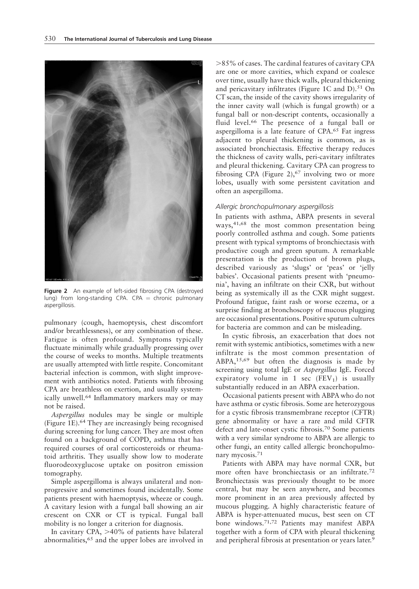

Figure 2 An example of left-sided fibrosing CPA (destroyed lung) from long-standing CPA. CPA = chronic pulmonary aspergillosis.

pulmonary (cough, haemoptysis, chest discomfort and/or breathlessness), or any combination of these. Fatigue is often profound. Symptoms typically fluctuate minimally while gradually progressing over the course of weeks to months. Multiple treatments are usually attempted with little respite. Concomitant bacterial infection is common, with slight improvement with antibiotics noted. Patients with fibrosing CPA are breathless on exertion, and usually systemically unwell.<sup>64</sup> Inflammatory markers may or may not be raised.

Aspergillus nodules may be single or multiple (Figure 1E).<sup>64</sup> They are increasingly being recognised during screening for lung cancer. They are most often found on a background of COPD, asthma that has required courses of oral corticosteroids or rheumatoid arthritis. They usually show low to moderate fluorodeoxyglucose uptake on positron emission tomography.

Simple aspergilloma is always unilateral and nonprogressive and sometimes found incidentally. Some patients present with haemoptysis, wheeze or cough. A cavitary lesion with a fungal ball showing an air crescent on CXR or CT is typical. Fungal ball mobility is no longer a criterion for diagnosis.

In cavitary CPA,  $>40\%$  of patients have bilateral abnormalities,<sup>65</sup> and the upper lobes are involved in

 $>85\%$  of cases. The cardinal features of cavitary CPA are one or more cavities, which expand or coalesce over time, usually have thick walls, pleural thickening and pericavitary infiltrates (Figure 1C and  $D$ ).<sup>51</sup> On CT scan, the inside of the cavity shows irregularity of the inner cavity wall (which is fungal growth) or a fungal ball or non-descript contents, occasionally a fluid level.<sup>66</sup> The presence of a fungal ball or aspergilloma is a late feature of CPA.<sup>65</sup> Fat ingress adjacent to pleural thickening is common, as is associated bronchiectasis. Effective therapy reduces the thickness of cavity walls, peri-cavitary infiltrates and pleural thickening. Cavitary CPA can progress to fibrosing CPA (Figure 2), $67$  involving two or more lobes, usually with some persistent cavitation and often an aspergilloma.

#### Allergic bronchopulmonary aspergillosis

In patients with asthma, ABPA presents in several ways,41,68 the most common presentation being poorly controlled asthma and cough. Some patients present with typical symptoms of bronchiectasis with productive cough and green sputum. A remarkable presentation is the production of brown plugs, described variously as 'slugs' or 'peas' or 'jelly babies'. Occasional patients present with 'pneumonia', having an infiltrate on their CXR, but without being as systemically ill as the CXR might suggest. Profound fatigue, faint rash or worse eczema, or a surprise finding at bronchoscopy of mucous plugging are occasional presentations. Positive sputum cultures for bacteria are common and can be misleading.

In cystic fibrosis, an exacerbation that does not remit with systemic antibiotics, sometimes with a new infiltrate is the most common presentation of ABPA,15,69 but often the diagnosis is made by screening using total IgE or Aspergillus IgE. Forced expiratory volume in 1 sec  $(FEV_1)$  is usually substantially reduced in an ABPA exacerbation.

Occasional patients present with ABPA who do not have asthma or cystic fibrosis. Some are heterozygous for a cystic fibrosis transmembrane receptor (CFTR) gene abnormality or have a rare and mild CFTR defect and late-onset cystic fibrosis.<sup>70</sup> Some patients with a very similar syndrome to ABPA are allergic to other fungi, an entity called allergic bronchopulmonary mycosis.<sup>71</sup>

Patients with ABPA may have normal CXR, but more often have bronchiectasis or an infiltrate.<sup>72</sup> Bronchiectasis was previously thought to be more central, but may be seen anywhere, and becomes more prominent in an area previously affected by mucous plugging. A highly characteristic feature of ABPA is hyper-attenuated mucus, best seen on CT bone windows.71,72 Patients may manifest ABPA together with a form of CPA with pleural thickening and peripheral fibrosis at presentation or years later.<sup>9</sup>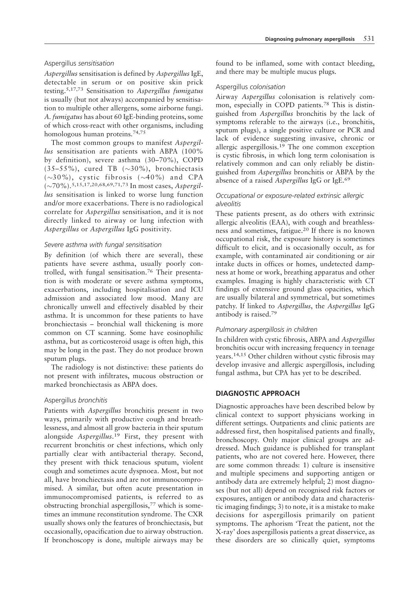# Aspergillus sensitisation

Aspergillus sensitisation is defined by Aspergillus IgE, detectable in serum or on positive skin prick testing.5,17,73 Sensitisation to Aspergillus fumigatus is usually (but not always) accompanied by sensitisation to multiple other allergens, some airborne fungi. A. fumigatus has about 60 IgE-binding proteins, some of which cross-react with other organisms, including homologous human proteins.74,75

The most common groups to manifest Aspergillus sensitisation are patients with ABPA (100%) by definition), severe asthma (30–70%), COPD  $(35-55\%),$  cured TB  $(\sim30\%),$  bronchiectasis  $(\sim30\%)$ , cystic fibrosis  $(\sim40\%)$  and CPA (~70%).5,15,17,20,68,69,71,73 In most cases, Aspergillus sensitisation is linked to worse lung function and/or more exacerbations. There is no radiological correlate for Aspergillus sensitisation, and it is not directly linked to airway or lung infection with Aspergillus or Aspergillus IgG positivity.

# Severe asthma with fungal sensitisation

By definition (of which there are several), these patients have severe asthma, usually poorly controlled, with fungal sensitisation.<sup>76</sup> Their presentation is with moderate or severe asthma symptoms, exacerbations, including hospitalisation and ICU admission and associated low mood. Many are chronically unwell and effectively disabled by their asthma. It is uncommon for these patients to have bronchiectasis – bronchial wall thickening is more common on CT scanning. Some have eosinophilic asthma, but as corticosteroid usage is often high, this may be long in the past. They do not produce brown sputum plugs.

The radiology is not distinctive: these patients do not present with infiltrates, mucous obstruction or marked bronchiectasis as ABPA does.

#### Aspergillus bronchitis

Patients with Aspergillus bronchitis present in two ways, primarily with productive cough and breathlessness, and almost all grow bacteria in their sputum alongside Aspergillus.<sup>19</sup> First, they present with recurrent bronchitis or chest infections, which only partially clear with antibacterial therapy. Second, they present with thick tenacious sputum, violent cough and sometimes acute dyspnoea. Most, but not all, have bronchiectasis and are not immunocompromised. A similar, but often acute presentation in immunocompromised patients, is referred to as obstructing bronchial aspergillosis,<sup>77</sup> which is sometimes an immune reconstitution syndrome. The CXR usually shows only the features of bronchiectasis, but occasionally, opacification due to airway obstruction. If bronchoscopy is done, multiple airways may be found to be inflamed, some with contact bleeding, and there may be multiple mucus plugs.

# Aspergillus colonisation

Airway Aspergillus colonisation is relatively common, especially in COPD patients.<sup>78</sup> This is distinguished from Aspergillus bronchitis by the lack of symptoms referable to the airways (i.e., bronchitis, sputum plugs), a single positive culture or PCR and lack of evidence suggesting invasive, chronic or allergic aspergillosis.<sup>19</sup> The one common exception is cystic fibrosis, in which long term colonisation is relatively common and can only reliably be distinguished from Aspergillus bronchitis or ABPA by the absence of a raised Aspergillus IgG or IgE.<sup>69</sup>

# Occupational or exposure-related extrinsic allergic alveolitis

These patients present, as do others with extrinsic allergic alveolitis (EAA), with cough and breathlessness and sometimes, fatigue.<sup>20</sup> If there is no known occupational risk, the exposure history is sometimes difficult to elicit, and is occasionally occult, as for example, with contaminated air conditioning or air intake ducts in offices or homes, undetected dampness at home or work, breathing apparatus and other examples. Imaging is highly characteristic with CT findings of extensive ground glass opacities, which are usually bilateral and symmetrical, but sometimes patchy. If linked to Aspergillus, the Aspergillus IgG antibody is raised.<sup>79</sup>

# Pulmonary aspergillosis in children

In children with cystic fibrosis, ABPA and Aspergillus bronchitis occur with increasing frequency in teenage years.14,15 Other children without cystic fibrosis may develop invasive and allergic aspergillosis, including fungal asthma, but CPA has yet to be described.

# DIAGNOSTIC APPROACH

Diagnostic approaches have been described below by clinical context to support physicians working in different settings. Outpatients and clinic patients are addressed first, then hospitalised patients and finally, bronchoscopy. Only major clinical groups are addressed. Much guidance is published for transplant patients, who are not covered here. However, there are some common threads: 1) culture is insensitive and multiple specimens and supporting antigen or antibody data are extremely helpful; 2) most diagnoses (but not all) depend on recognised risk factors or exposures, antigen or antibody data and characteristic imaging findings; 3) to note, it is a mistake to make decisions for aspergillosis primarily on patient symptoms. The aphorism 'Treat the patient, not the X-ray' does aspergillosis patients a great disservice, as these disorders are so clinically quiet, symptoms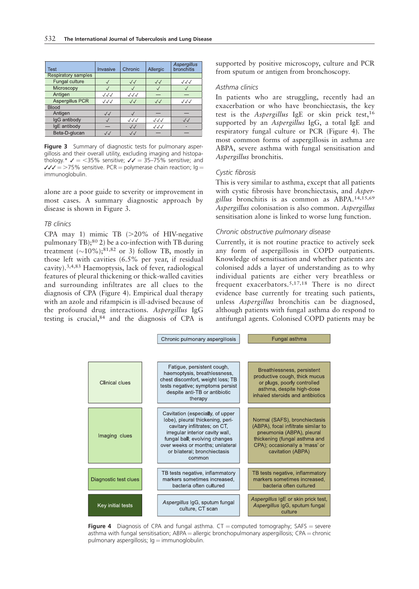| <b>Test</b>                | Invasive                         | Chronic                          | Allergic                         | Aspergillus<br>bronchitis |
|----------------------------|----------------------------------|----------------------------------|----------------------------------|---------------------------|
| <b>Respiratory samples</b> |                                  |                                  |                                  |                           |
| Fungal culture             |                                  | $\sqrt{\sqrt{2}}$                | $\sqrt{}$                        | $\sqrt{\sqrt{}}$          |
| Microscopy                 |                                  |                                  |                                  |                           |
| Antigen                    | $\checkmark\checkmark\checkmark$ | $\checkmark\checkmark\checkmark$ |                                  |                           |
| Aspergillus PCR            | $\sqrt{\sqrt{}}$                 | $\sqrt{}$                        | $\sqrt{}$                        | $\sqrt{\sqrt{}}$          |
| <b>Blood</b>               |                                  |                                  |                                  |                           |
| Antigen                    | $\sqrt{}$                        |                                  |                                  |                           |
| IgG antibody               |                                  | $\checkmark\checkmark\checkmark$ | $\checkmark\checkmark\checkmark$ | $\sqrt{}$                 |
| IqE antibody               |                                  | $\sqrt{}$                        | $\checkmark\checkmark$           |                           |
| Beta-D-glucan              | $\sqrt{3}$                       | $\sqrt{3}$                       |                                  |                           |

Figure 3 Summary of diagnostic tests for pulmonary aspergillosis and their overall utility, excluding imaging and histopathology.\*  $\sqrt{ } =$  <35% sensitive;  $\sqrt{ } = 35-75$ % sensitive; and  $\sqrt{C}$  = >75% sensitive. PCR = polymerase chain reaction; Ig = immunoglobulin.

alone are a poor guide to severity or improvement in most cases. A summary diagnostic approach by disease is shown in Figure 3.

#### TB clinics

CPA may 1) mimic TB  $(>20\%$  of HIV-negative pulmonary TB);<sup>80</sup> 2) be a co-infection with TB during treatment  $(\sim 10\%);$ <sup>81,82</sup> or 3) follow TB, mostly in those left with cavities (6.5% per year, if residual cavity).3,4,83 Haemoptysis, lack of fever, radiological features of pleural thickening or thick-walled cavities and surrounding infiltrates are all clues to the diagnosis of CPA (Figure 4). Empirical dual therapy with an azole and rifampicin is ill-advised because of the profound drug interactions. Aspergillus IgG testing is crucial,84 and the diagnosis of CPA is supported by positive microscopy, culture and PCR from sputum or antigen from bronchoscopy.

#### Asthma clinics

In patients who are struggling, recently had an exacerbation or who have bronchiectasis, the key test is the Aspergillus IgE or skin prick test,<sup>16</sup> supported by an Aspergillus IgG, a total IgE and respiratory fungal culture or PCR (Figure 4). The most common forms of aspergillosis in asthma are ABPA, severe asthma with fungal sensitisation and Aspergillus bronchitis.

#### Cystic fibrosis

This is very similar to asthma, except that all patients with cystic fibrosis have bronchiectasis, and Aspergillus bronchitis is as common as ABPA.14,15,69 Aspergillus colonisation is also common. Aspergillus sensitisation alone is linked to worse lung function.

#### Chronic obstructive pulmonary disease

Currently, it is not routine practice to actively seek any form of aspergillosis in COPD outpatients. Knowledge of sensitisation and whether patients are colonised adds a layer of understanding as to why individual patients are either very breathless or frequent exacerbators.5,17,18 There is no direct evidence base currently for treating such patients, unless Aspergillus bronchitis can be diagnosed, although patients with fungal asthma do respond to antifungal agents. Colonised COPD patients may be



**Figure 4** Diagnosis of CPA and fungal asthma.  $CT =$ computed tomography; SAFS = severe asthma with fungal sensitisation;  $ABPA =$  allergic bronchopulmonary aspergillosis;  $CPA =$  chronic pulmonary aspergillosis;  $Ig = \text{immunoglobin}$ .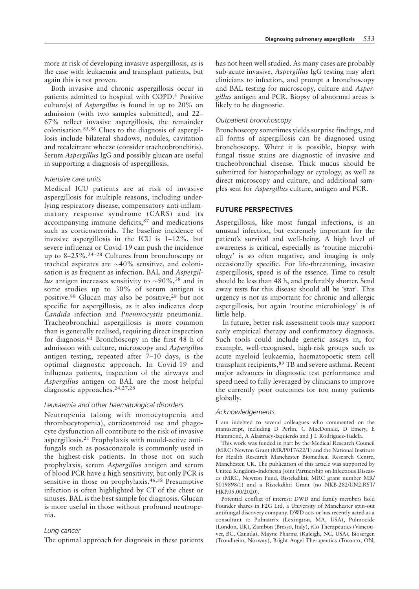more at risk of developing invasive aspergillosis, as is the case with leukaemia and transplant patients, but again this is not proven.

Both invasive and chronic aspergillosis occur in patients admitted to hospital with COPD.<sup>5</sup> Positive culture(s) of Aspergillus is found in up to 20% on admission (with two samples submitted), and 22– 67% reflect invasive aspergillosis, the remainder colonisation.85,86 Clues to the diagnosis of aspergillosis include bilateral shadows, nodules, cavitation and recalcitrant wheeze (consider tracheobronchitis). Serum Aspergillus IgG and possibly glucan are useful in supporting a diagnosis of aspergillosis.

# Intensive care units

Medical ICU patients are at risk of invasive aspergillosis for multiple reasons, including underlying respiratory disease, compensatory anti-inflammatory response syndrome (CARS) and its accompanying immune deficits,<sup>87</sup> and medications such as corticosteroids. The baseline incidence of invasive aspergillosis in the ICU is 1–12%, but severe influenza or Covid-19 can push the incidence up to 8–25%.24–28 Cultures from bronchoscopy or tracheal aspirates are  $\sim$ 40% sensitive, and colonisation is as frequent as infection. BAL and *Aspergil*lus antigen increases sensitivity to  $\sim 90\%$ , <sup>38</sup> and in some studies up to 30% of serum antigen is positive.<sup>88</sup> Glucan may also be positive,<sup>28</sup> but not specific for aspergillosis, as it also indicates deep Candida infection and Pneumocystis pneumonia. Tracheobronchial aspergillosis is more common than is generally realised, requiring direct inspection for diagnosis.<sup>61</sup> Bronchoscopy in the first 48 h of admission with culture, microscopy and Aspergillus antigen testing, repeated after 7–10 days, is the optimal diagnostic approach. In Covid-19 and influenza patients, inspection of the airways and Aspergillus antigen on BAL are the most helpful diagnostic approaches.24,27,28

# Leukaemia and other haematological disorders

Neutropenia (along with monocytopenia and thrombocytopenia), corticosteroid use and phagocyte dysfunction all contribute to the risk of invasive aspergillosis.<sup>21</sup> Prophylaxis with mould-active antifungals such as posaconazole is commonly used in the highest-risk patients. In those not on such prophylaxis, serum Aspergillus antigen and serum of blood PCR have a high sensitivity, but only PCR is sensitive in those on prophylaxis.46,58 Presumptive infection is often highlighted by CT of the chest or sinuses. BAL is the best sample for diagnosis. Glucan is more useful in those without profound neutropenia.

# Lung cancer

The optimal approach for diagnosis in these patients

has not been well studied. As many cases are probably sub-acute invasive, Aspergillus IgG testing may alert clinicians to infection, and prompt a bronchoscopy and BAL testing for microscopy, culture and Aspergillus antigen and PCR. Biopsy of abnormal areas is likely to be diagnostic.

### Outpatient bronchoscopy

Bronchoscopy sometimes yields surprise findings, and all forms of aspergillosis can be diagnosed using bronchoscopy. Where it is possible, biopsy with fungal tissue stains are diagnostic of invasive and tracheobronchial disease. Thick mucus should be submitted for histopathology or cytology, as well as direct microscopy and culture, and additional samples sent for Aspergillus culture, antigen and PCR.

# FUTURE PERSPECTIVES

Aspergillosis, like most fungal infections, is an unusual infection, but extremely important for the patient's survival and well-being. A high level of awareness is critical, especially as 'routine microbiology' is so often negative, and imaging is only occasionally specific. For life-threatening, invasive aspergillosis, speed is of the essence. Time to result should be less than 48 h, and preferably shorter. Send away tests for this disease should all be 'stat'. This urgency is not as important for chronic and allergic aspergillosis, but again 'routine microbiology' is of little help.

In future, better risk assessment tools may support early empirical therapy and confirmatory diagnosis. Such tools could include genetic assays in, for example, well-recognised, high-risk groups such as acute myeloid leukaemia, haematopoetic stem cell transplant recipients,<sup>89</sup> TB and severe asthma. Recent major advances in diagnostic test performance and speed need to fully leveraged by clinicians to improve the currently poor outcomes for too many patients globally.

#### Acknowledgements

I am indebted to several colleagues who commented on the manuscript, including D Perlin, C MacDonald, D Emery, E Hammond, A Alastruey-Izquierdo and J L Rodriguez-Tudela.

This work was funded in part by the Medical Research Council (MRC) Newton Grant (MR/P017622/1) and the National Institute for Health Research Manchester Biomedical Research Centre, Manchester, UK. The publication of this article was supported by United Kingdom–Indonesia Joint Partnership on Infectious Diseases (MRC, Newton Fund, Ristekdikti; MRC grant number MR/ S019898/1) and a Ristekdikti Grant (no NKB-282/UN2.RST/ HKP.05.00/2020).

Potential conflict of interest: DWD and family members hold Founder shares in F2G Ltd, a University of Manchester spin-out antifungal discovery company. DWD acts or has recently acted as a consultant to Pulmatrix (Lexington, MA, USA), Pulmocide (London, UK), Zambon (Bresso, Italy), iCo Therapeutics (Vancouver, BC, Canada), Mayne Pharma (Raleigh, NC, USA), Biosergen (Trondheim, Norway), Bright Angel Therapeutics (Toronto, ON,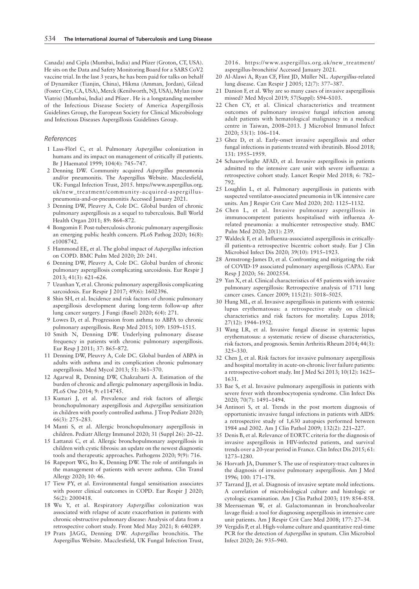Canada) and Cipla (Mumbai, India) and Pfizer (Groton, CT, USA). He sits on the Data and Safety Monitoring Board for a SARS CoV2 vaccine trial. In the last 3 years, he has been paid for talks on behalf of Dynamiker (Tianjin, China), Hikma (Amman, Jordan), Gilead (Foster City, CA, USA), Merck (Kenilworth, NJ, USA), Mylan (now Viatris) (Mumbai, India) and Pfizer . He is a longstanding member of the Infectious Disease Society of America Aspergillosis Guidelines Group, the European Society for Clinical Microbiology and Infectious Diseases Aspergillosis Guidelines Group.

#### References

- 1 Lass-Flörl C, et al. Pulmonary Aspergillus colonization in humans and its impact on management of critically ill patients. Br J Haematol 1999; 104(4): 745–747.
- 2 Denning DW. Community acquired Aspergillus pneumonia and/or pneumonitis. The Aspergillus Website. Macclesfield, UK: Fungal Infection Trust, 2015. https://www.aspergillus.org. uk/new\_treatment/community-acquired-aspergilluspneumonia-and-or-pneumonitis Accessed January 2021.
- 3 Denning DW, Pleuvry A, Cole DC. Global burden of chronic pulmonary aspergillosis as a sequel to tuberculosis. Bull World Health Organ 2011; 89: 864–872.
- 4 Bongomin F. Post-tuberculosis chronic pulmonary aspergillosis: an emerging public health concern. PLoS Pathog 2020; 16(8): e1008742.
- 5 Hammond EE, et al. The global impact of Aspergillus infection on COPD. BMC Pulm Med 2020; 20: 241.
- 6 Denning DW, Pleuvry A, Cole DC. Global burden of chronic pulmonary aspergillosis complicating sarcoidosis. Eur Respir J 2013; 41(3): 621–626.
- 7 Uzunhan Y, et al. Chronic pulmonary aspergillosis complicating sarcoidosis. Eur Respir J 2017; 49(6): 1602396.
- 8 Shin SH, et al. Incidence and risk factors of chronic pulmonary aspergillosis development during long-term follow-up after lung cancer surgery. J Fungi (Basel) 2020; 6(4): 271.
- 9 Lowes D, et al. Progression from asthma to ABPA to chronic pulmonary aspergillosis. Resp Med 2015; 109: 1509–1515.
- 10 Smith N, Denning DW. Underlying pulmonary disease frequency in patients with chronic pulmonary aspergillosis. Eur Resp J 2011; 37: 865–872.
- 11 Denning DW, Pleuvry A, Cole DC. Global burden of ABPA in adults with asthma and its complication chronic pulmonary aspergillosis. Med Mycol 2013; 51: 361–370.
- 12 Agarwal R, Denning DW, Chakrabarti A. Estimation of the burden of chronic and allergic pulmonary aspergillosis in India. PLoS One 2014; 9: e114745.
- 13 Kumari J, et al. Prevalence and risk factors of allergic bronchopulmonary aspergillosis and Aspergillus sensitization in children with poorly controlled asthma. J Trop Pediatr 2020; 66(3): 275–283.
- 14 Manti S, et al. Allergic bronchopulmonary aspergillosis in children. Pediatr Allergy Immunol 2020; 31 (Suppl 26): 20–22.
- 15 Lattanzi C, et al. Allergic bronchopulmonary aspergillosis in children with cystic fibrosis: an update on the newest diagnostic tools and therapeutic approaches. Pathogens 2020; 9(9): 716.
- 16 Rapeport WG, Ito K, Denning DW. The role of antifungals in the management of patients with severe asthma. Clin Transl Allergy 2020; 10: 46.
- 17 Tiew PY, et al. Environmental fungal sensitisation associates with poorer clinical outcomes in COPD. Eur Respir J 2020; 56(2): 2000418.
- 18 Wu Y, et al. Respiratory Aspergillus colonization was associated with relapse of acute exacerbation in patients with chronic obstructive pulmonary disease: Analysis of data from a retrospective cohort study. Front Med May 2021; 8: 640289.
- 19 Prats JAGG, Denning DW. Aspergillus bronchitis. The Aspergillus Website. Macclesfield, UK Fungal Infection Trust,

2016. https://www.aspergillus.org.uk/new\_treatment/ aspergillus-bronchitis/ Accessed January 2021.

- 20 Al-Alawi A, Ryan CF, Flint JD, Müller NL. Aspergillus-related lung disease. Can Respir J 2005; 12(7): 377–387.
- 21 Danion F, et al. Why are so many cases of invasive aspergillosis missed? Med Mycol 2019; 57(Suppl): S94–S103.
- 22 Chen CY, et al. Clinical characteristics and treatment outcomes of pulmonary invasive fungal infection among adult patients with hematological malignancy in a medical centre in Taiwan, 2008–2013. J Microbiol Immunol Infect 2020; 53(1): 106–114.
- 23 Ghez D, et al. Early-onset invasive aspergillosis and other fungal infections in patients treated with ibrutinib. Blood 2018; 131: 1955–1959.
- 24 Schauwvlieghe AFAD, et al. Invasive aspergillosis in patients admitted to the intensive care unit with severe influenza: a retrospective cohort study. Lancet Respir Med 2018; 6: 782– 792.
- 25 Loughlin L, et al. Pulmonary aspergillosis in patients with suspected ventilator-associated pneumonia in UK intensive care units. Am J Respir Crit Care Med 2020; 202: 1125–1132.
- 26 Chen L, et al. Invasive pulmonary aspergillosis in immunocompetent patients hospitalised with influenza Arelated pneumonia: a multicenter retrospective study. BMC Pulm Med 2020; 20(1): 239.
- 27 Waldeck F, et al. Influenza-associated aspergillosis in criticallyill patients-a retrospective bicentric cohort study. Eur J Clin Microbiol Infect Dis 2020; 39(10): 1915–1923.
- 28 Armstrong-James D, et al. Confronting and mitigating the risk of COVID-19 associated pulmonary aspergillosis (CAPA). Eur Resp J 2020; 56: 2002554.
- 29 Yan X, et al. Clinical characteristics of 45 patients with invasive pulmonary aspergillosis: Retrospective analysis of 1711 lung cancer cases. Cancer 2009; 115(21): 5018–5025.
- 30 Hung ML, et al. Invasive aspergillosis in patients with systemic lupus erythematosus: a retrospective study on clinical characteristics and risk factors for mortality. Lupus 2018; 27(12): 1944–1952.
- 31 Wang LR, et al. Invasive fungal disease in systemic lupus erythematosus: a systematic review of disease characteristics, risk factors, and prognosis. Semin Arthritis Rheum 2014; 44(3): 325–330.
- 32 Chen J, et al. Risk factors for invasive pulmonary aspergillosis and hospital mortality in acute-on-chronic liver failure patients: a retrospective-cohort study. Int J Med Sci 2013; 10(12): 1625– 1631.
- 33 Bae S, et al. Invasive pulmonary aspergillosis in patients with severe fever with thrombocytopenia syndrome. Clin Infect Dis 2020; 70(7): 1491–1494.
- 34 Antinori S, et al. Trends in the post mortem diagnosis of opportunistic invasive fungal infections in patients with AIDS: a retrospective study of 1,630 autopsies performed between 1984 and 2002. Am J Clin Pathol 2009; 132(2): 221–227.
- 35 Denis B, et al. Relevance of EORTC criteria for the diagnosis of invasive aspergillosis in HIV-infected patients, and survival trends over a 20-year period in France. Clin Infect Dis 2015; 61: 1273–1280.
- 36 Horvath JA, Dummer S. The use of respiratory-tract cultures in the diagnosis of invasive pulmonary aspergillosis. Am J Med 1996; 100: 171–178.
- 37 Tarrand JJ, et al. Diagnosis of invasive septate mold infections. A correlation of microbiological culture and histologic or cytologic examination. Am J Clin Pathol 2003; 119: 854–858.
- 38 Meersseman W, et al. Galactomannan in bronchoalveolar lavage fluid: a tool for diagnosing aspergillosis in intensive care unit patients. Am J Respir Crit Care Med 2008; 177: 27–34.
- 39 Vergidis P, et al. High-volume culture and quantitative real-time PCR for the detection of Aspergillus in sputum. Clin Microbiol Infect 2020; 26: 935–940.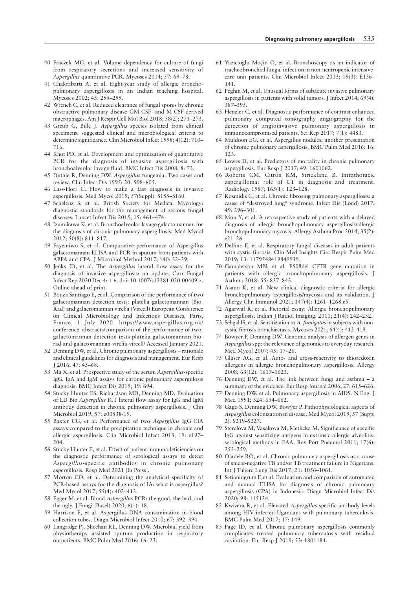- 40 Fraczek MG, et al. Volume dependency for culture of fungi from respiratory secretions and increased sensitivity of Aspergillus quantitative PCR. Mycoses 2014; 57: 69–78.
- 41 Chakrabarti A, et al. Eight-year study of allergic bronchopulmonary aspergillosis in an Indian teaching hospital. Mycoses 2002; 45: 295–299.
- 42 Wrench C, et al. Reduced clearance of fungal spores by chronic obstructive pulmonary disease GM-CSF- and M-CSF-derived macrophages. Am J Respir Cell Mol Biol 2018; 58(2): 271–273.
- 43 Greub G, Bille J. Aspergillus species isolated from clinical specimens: suggested clinical and microbiological criteria to determine significance. Clin Microbiol Infect 1998; 4(12): 710– 716.
- 44 Khot PD, et al. Development and optimization of quantitative PCR for the diagnosis of invasive aspergillosis with bronchoalveolar lavage fluid. BMC Infect Dis 2008; 8: 73.
- 45 Duthie R, Denning DW. Aspergillus fungemia. Two cases and review. Clin Infect Dis 1995; 20: 598–605.
- 46 Lass-Flörl C. How to make a fast diagnosis in invasive aspergillosis. Med Mycol 2019; 57(Suppl): S155–S160.
- 47 Schelenz S, et al. British Society for Medical Mycology: diagnostic standards for the management of serious fungal diseases. Lancet Infect Dis 2015; 15: 461–474.
- 48 Izumikawa K, et al. Bronchoalveolar lavage galactomannan for the diagnosis of chronic pulmonary aspergillosis. Med Mycol 2012; 50(8): 811–817.
- 49 Fayemiwo S, et al. Comparative performance of Aspergillus galactomannan ELISA and PCR in sputum from patients with ABPA and CPA. J Microbiol Method 2017; 140: 32–39.
- 50 Jenks JD, et al. The Aspergillus lateral flow assay for the diagnosis of invasive aspergillosis: an update. Curr Fungal Infect Rep 2020 Dec 4: 1-6. doi: 10.1007/s12281-020-00409-z. Online ahead of print.
- 51 Bouza Santiago E, et al. Comparison of the performance of two galactomannan detection tests: platelia galactomannan (Bio-Rad) and galactomannan virclia (Vircell) European Conference on Clinical Microbiology and Infectious Diseases, Paris, France, 1 July 2020. https://www.aspergillus.org.uk/ conference\_abstracts/comparison-of-the-performance-of-twogalactomannan-detection-tests-platelia-galactomannan-biorad-and-galactomannan-virclia-vircell/ Accessed January 2021.
- 52 Denning DW, et al. Chronic pulmonary aspergillosis rationale and clinical guidelines for diagnosis and management. Eur Resp J 2016; 47: 45–68.
- 53 Ma X, et al. Prospective study of the serum Aspergillus-specific IgG, IgA and IgM assays for chronic pulmonary aspergillosis diagnosis. BMC Infect Dis 2019; 19: 694.
- 54 Stucky Hunter ES, Richardson MD, Denning MD. Evaluation of LD Bio Aspergillus ICT lateral flow assay for IgG and IgM antibody detection in chronic pulmonary aspergillosis. J Clin Microbiol 2019; 57: e00538-19.
- 55 Baxter CG, et al. Performance of two Aspergillus IgG EIA assays compared to the precipitation technique in chronic and allergic aspergillosis. Clin Microbiol Infect 2013; 19: e197– 204.
- 56 Stucky Hunter E, et al. Effect of patient immunodeficiencies on the diagnostic performance of serological assays to detect Aspergillus-specific antibodies in chronic pulmonary aspergillosis. Resp Med 2021 [In Press].
- 57 Morton CO, et al. Determining the analytical specificity of PCR-based assays for the diagnosis of IA: what is aspergillus? Med Mycol 2017; 55(4): 402–413.
- 58 Egger M, et al. Blood Aspergillus PCR: the good, the bad, and the ugly. J Fungi (Basel) 2020; 6(1): 18.
- 59 Harrison E, et al. Aspergillus DNA contamination in blood collection tubes. Diagn Microbiol Infect 2010; 67: 392–394.
- 60 Langridge PJ, Sheehan RL, Denning DW. Microbial yield from physiotherapy assisted sputum production in respiratory outpatients. BMC Pulm Med 2016; 16: 23.
- 61 Yazıcıoğlu Moçin O, et al. Bronchoscopy as an indicator of tracheobronchial fungal infection in non-neutropenic intensivecare unit patients. Clin Microbiol Infect 2013; 19(3): E136– 141.
- 62 Peghin M, et al. Unusual forms of subacute invasive pulmonary aspergillosis in patients with solid tumors. J Infect 2014; 69(4): 387–395.
- 63 Henzler C, et al. Diagnostic performance of contrast enhanced pulmonary computed tomography angiography for the detection of angioinvasive pulmonary aspergillosis in immunocompromised patients. Sci Rep 2017; 7(1): 4483.
- 64 Muldoon EG, et al. Aspergillus nodules; another presentation of chronic pulmonary aspergillosis. BMC Pulm Med 2016; 16: 123.
- 65 Lowes D, et al. Predictors of mortality in chronic pulmonary aspergillosis. Eur Resp J 2017; 49: 1601062.
- 66 Roberts CM, Citron KM, Strickland B. Intrathoracic aspergilloma: role of CT in diagnosis and treatment. Radiology 1987; 165(1): 123–128.
- 67 Kosmidis C, et al. Chronic fibrosing pulmonary aspergillosis: a cause of "destroyed lung" syndrome. Infect Dis (Lond) 2017; 49: 296–301.
- 68 Mou Y, et al. A retrospective study of patients with a delayed diagnosis of allergic bronchopulmonary aspergillosis/allergic bronchopulmonary mycosis. Allergy Asthma Proc 2014; 35(2): e21–26.
- 69 Delfino E, et al. Respiratory fungal diseases in adult patients with cystic fibrosis. Clin Med Insights Circ Respir Pulm Med 2019; 13: 1179548419849939.
- 70 Gamaletsou MN, et al. F508del CFTR gene mutation in patients with allergic bronchopulmonary aspergillosis. J Asthma 2018; 55: 837–843.
- 71 Asano K, et al. New clinical diagnostic criteria for allergic bronchopulmonary aspergillosis/mycosis and its validation. J Allergy Clin Immunol 2021; 147(4): 1261–1268.e5.
- 72 Agarwal R, et al. Pictorial essay: Allergic bronchopulmonary aspergillosis. Indian J Radiol Imaging. 2011; 21(4): 242–252.
- 73 Sehgal IS, et al. Sensitization to A. fumigatus in subjects with noncystic fibrosis bronchiectasis. Mycoses 2021; 64(4): 412–419.
- 74 Bowyer P, Denning DW. Genomic analysis of allergen genes in Aspergillus spp: the relevance of genomics to everyday research. Med Mycol 2007; 45: 17–26.
- 75 Glaser AG, et al. Auto- and cross-reactivity to thioredoxin allergens in allergic bronchopulmonary aspergillosis. Allergy 2008; 63(12): 1617–1623.
- 76 Denning DW, et al. The link between fungi and asthma a summary of the evidence. Eur Resp Journal 2006; 27: 615–626.
- 77 Denning DW, et al. Pulmonary aspergillosis in AIDS. N Engl J Med 1991; 324: 654–662.
- 78 Gago S, Denning DW, Bowyer P. Pathophysiological aspects of Aspergillus colonization in disease. Med Mycol 2019; 57 (Suppl 2): S219–S227.
- 79 Sterclova M, Vasakova M, Metlicka M. Significance of specific IgG against sensitizing antigens in extrinsic allergic alveolitis: serological methods in EAA. Rev Port Pneumol 2011; 17(6): 253–259.
- 80 Oladele RO, et al. Chronic pulmonary aspergillosis as a cause of smear-negative TB and/or TB treatment failure in Nigerians. Int J Tuberc Lung Dis 2017; 21: 1056–1061.
- 81 Setianingrum F, et al. Evaluation and comparison of automated and manual ELISA for diagnosis of chronic pulmonary aspergillosis (CPA) in Indonesia. Diagn Microbiol Infect Dis 2020; 98: 115124.
- 82 Kwizera R, et al. Elevated Aspergillus-specific antibody levels among HIV infected Ugandans with pulmonary tuberculosis. BMC Pulm Med 2017; 17: 149.
- 83 Page ID, et al. Chronic pulmonary aspergillosis commonly complicates treated pulmonary tuberculosis with residual cavitation. Eur Resp J 2019; 53: 1801184.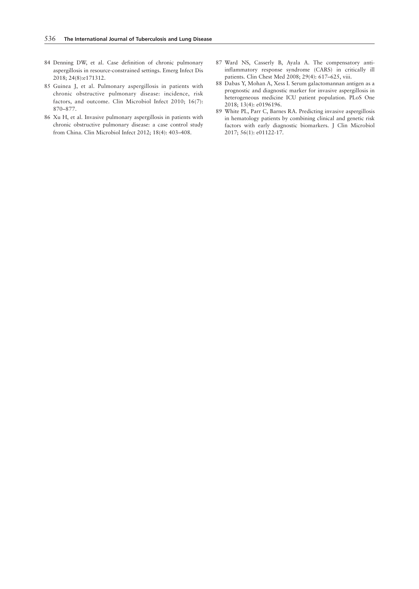- 84 Denning DW, et al. Case definition of chronic pulmonary aspergillosis in resource-constrained settings. Emerg Infect Dis 2018; 24(8):e171312.
- 85 Guinea J, et al. Pulmonary aspergillosis in patients with chronic obstructive pulmonary disease: incidence, risk factors, and outcome. Clin Microbiol Infect 2010; 16(7): 870–877.
- 86 Xu H, et al. Invasive pulmonary aspergillosis in patients with chronic obstructive pulmonary disease: a case control study from China. Clin Microbiol Infect 2012; 18(4): 403–408.
- 87 Ward NS, Casserly B, Ayala A. The compensatory antiinflammatory response syndrome (CARS) in critically ill patients. Clin Chest Med 2008; 29(4): 617–625, viii.
- 88 Dabas Y, Mohan A, Xess I. Serum galactomannan antigen as a prognostic and diagnostic marker for invasive aspergillosis in heterogeneous medicine ICU patient population. PLoS One 2018; 13(4): e0196196.
- 89 White PL, Parr C, Barnes RA. Predicting invasive aspergillosis in hematology patients by combining clinical and genetic risk factors with early diagnostic biomarkers. J Clin Microbiol 2017; 56(1): e01122-17.